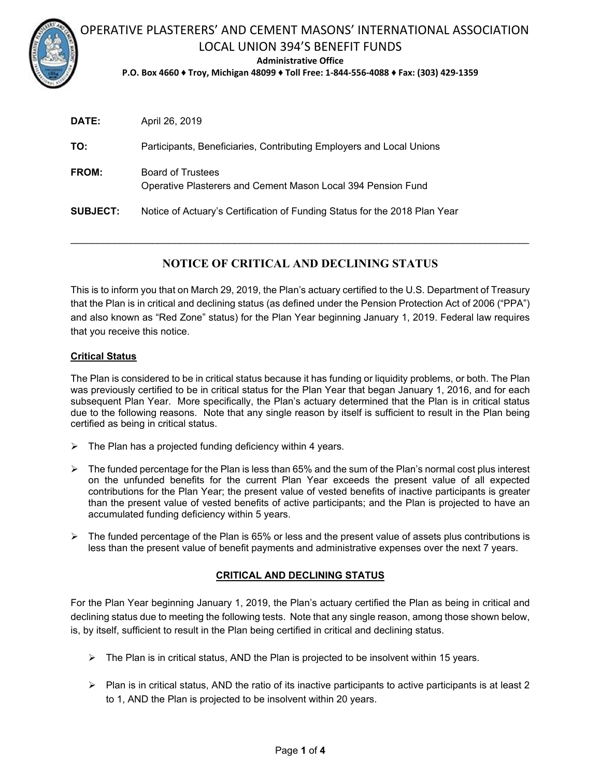

# OPERATIVE PLASTERERS' AND CEMENT MASONS' INTERNATIONAL ASSOCIATION LOCAL UNION 394'S BENEFIT FUNDS

**Administrative Office** 

**P.O. Box 4660 ♦ Troy, Michigan 48099 ♦ Toll Free: 1‐844‐556‐4088 ♦ Fax: (303) 429‐1359** 

| DATE:           | April 26, 2019                                                                    |
|-----------------|-----------------------------------------------------------------------------------|
| TO:             | Participants, Beneficiaries, Contributing Employers and Local Unions              |
| <b>FROM:</b>    | Board of Trustees<br>Operative Plasterers and Cement Mason Local 394 Pension Fund |
| <b>SUBJECT:</b> | Notice of Actuary's Certification of Funding Status for the 2018 Plan Year        |

# **NOTICE OF CRITICAL AND DECLINING STATUS**

 $\mathcal{L}_\mathcal{L} = \{ \mathcal{L}_\mathcal{L} = \{ \mathcal{L}_\mathcal{L} = \{ \mathcal{L}_\mathcal{L} = \{ \mathcal{L}_\mathcal{L} = \{ \mathcal{L}_\mathcal{L} = \{ \mathcal{L}_\mathcal{L} = \{ \mathcal{L}_\mathcal{L} = \{ \mathcal{L}_\mathcal{L} = \{ \mathcal{L}_\mathcal{L} = \{ \mathcal{L}_\mathcal{L} = \{ \mathcal{L}_\mathcal{L} = \{ \mathcal{L}_\mathcal{L} = \{ \mathcal{L}_\mathcal{L} = \{ \mathcal{L}_\mathcal{$ 

This is to inform you that on March 29, 2019, the Plan's actuary certified to the U.S. Department of Treasury that the Plan is in critical and declining status (as defined under the Pension Protection Act of 2006 ("PPA") and also known as "Red Zone" status) for the Plan Year beginning January 1, 2019. Federal law requires that you receive this notice.

### **Critical Status**

The Plan is considered to be in critical status because it has funding or liquidity problems, or both. The Plan was previously certified to be in critical status for the Plan Year that began January 1, 2016, and for each subsequent Plan Year. More specifically, the Plan's actuary determined that the Plan is in critical status due to the following reasons. Note that any single reason by itself is sufficient to result in the Plan being certified as being in critical status.

- $\triangleright$  The Plan has a projected funding deficiency within 4 years.
- $\triangleright$  The funded percentage for the Plan is less than 65% and the sum of the Plan's normal cost plus interest on the unfunded benefits for the current Plan Year exceeds the present value of all expected contributions for the Plan Year; the present value of vested benefits of inactive participants is greater than the present value of vested benefits of active participants; and the Plan is projected to have an accumulated funding deficiency within 5 years.
- $\triangleright$  The funded percentage of the Plan is 65% or less and the present value of assets plus contributions is less than the present value of benefit payments and administrative expenses over the next 7 years.

#### **CRITICAL AND DECLINING STATUS**

For the Plan Year beginning January 1, 2019, the Plan's actuary certified the Plan as being in critical and declining status due to meeting the following tests. Note that any single reason, among those shown below, is, by itself, sufficient to result in the Plan being certified in critical and declining status.

- $\triangleright$  The Plan is in critical status, AND the Plan is projected to be insolvent within 15 years.
- $\triangleright$  Plan is in critical status, AND the ratio of its inactive participants to active participants is at least 2 to 1, AND the Plan is projected to be insolvent within 20 years.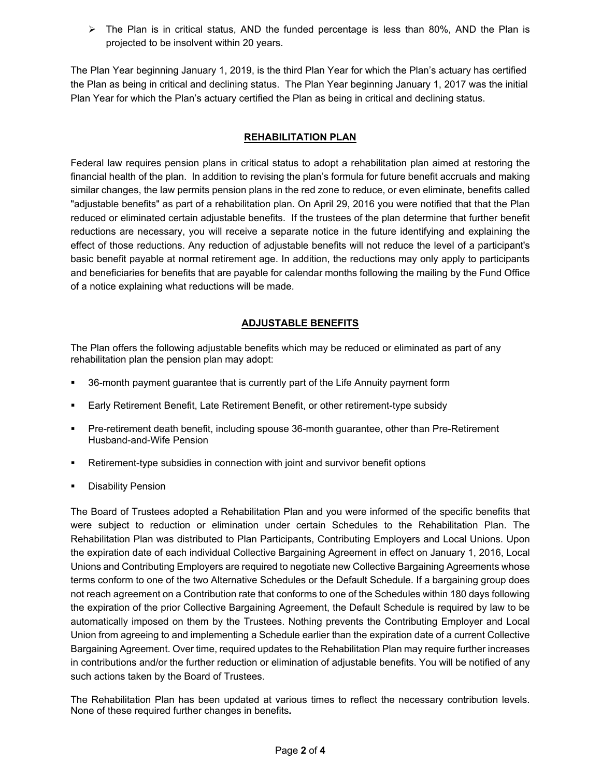$\triangleright$  The Plan is in critical status, AND the funded percentage is less than 80%, AND the Plan is projected to be insolvent within 20 years.

The Plan Year beginning January 1, 2019, is the third Plan Year for which the Plan's actuary has certified the Plan as being in critical and declining status. The Plan Year beginning January 1, 2017 was the initial Plan Year for which the Plan's actuary certified the Plan as being in critical and declining status.

### **REHABILITATION PLAN**

Federal law requires pension plans in critical status to adopt a rehabilitation plan aimed at restoring the financial health of the plan. In addition to revising the plan's formula for future benefit accruals and making similar changes, the law permits pension plans in the red zone to reduce, or even eliminate, benefits called "adjustable benefits" as part of a rehabilitation plan. On April 29, 2016 you were notified that that the Plan reduced or eliminated certain adjustable benefits. If the trustees of the plan determine that further benefit reductions are necessary, you will receive a separate notice in the future identifying and explaining the effect of those reductions. Any reduction of adjustable benefits will not reduce the level of a participant's basic benefit payable at normal retirement age. In addition, the reductions may only apply to participants and beneficiaries for benefits that are payable for calendar months following the mailing by the Fund Office of a notice explaining what reductions will be made.

## **ADJUSTABLE BENEFITS**

The Plan offers the following adjustable benefits which may be reduced or eliminated as part of any rehabilitation plan the pension plan may adopt:

- 36-month payment guarantee that is currently part of the Life Annuity payment form
- Early Retirement Benefit, Late Retirement Benefit, or other retirement-type subsidy
- Pre-retirement death benefit, including spouse 36-month guarantee, other than Pre-Retirement Husband-and-Wife Pension
- Retirement-type subsidies in connection with joint and survivor benefit options
- Disability Pension

The Board of Trustees adopted a Rehabilitation Plan and you were informed of the specific benefits that were subject to reduction or elimination under certain Schedules to the Rehabilitation Plan. The Rehabilitation Plan was distributed to Plan Participants, Contributing Employers and Local Unions. Upon the expiration date of each individual Collective Bargaining Agreement in effect on January 1, 2016, Local Unions and Contributing Employers are required to negotiate new Collective Bargaining Agreements whose terms conform to one of the two Alternative Schedules or the Default Schedule. If a bargaining group does not reach agreement on a Contribution rate that conforms to one of the Schedules within 180 days following the expiration of the prior Collective Bargaining Agreement, the Default Schedule is required by law to be automatically imposed on them by the Trustees. Nothing prevents the Contributing Employer and Local Union from agreeing to and implementing a Schedule earlier than the expiration date of a current Collective Bargaining Agreement. Over time, required updates to the Rehabilitation Plan may require further increases in contributions and/or the further reduction or elimination of adjustable benefits. You will be notified of any such actions taken by the Board of Trustees.

The Rehabilitation Plan has been updated at various times to reflect the necessary contribution levels. None of these required further changes in benefits*.*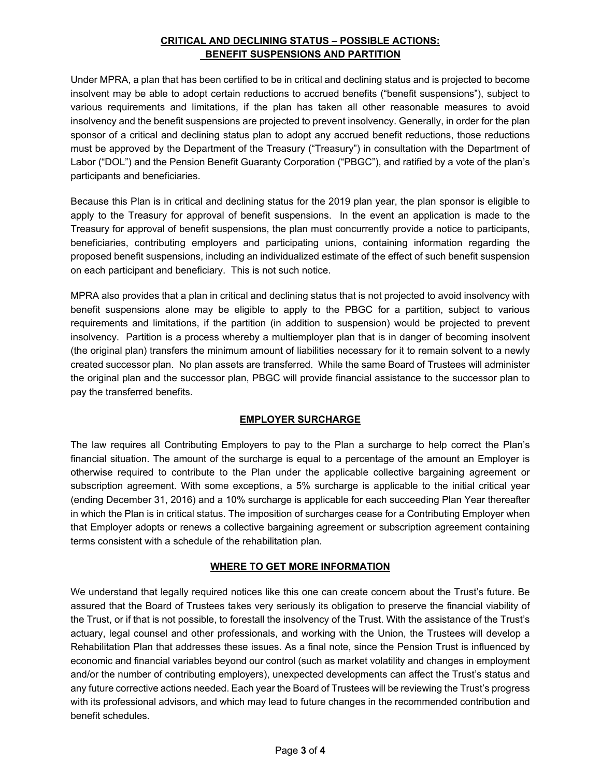## **CRITICAL AND DECLINING STATUS – POSSIBLE ACTIONS: BENEFIT SUSPENSIONS AND PARTITION**

Under MPRA, a plan that has been certified to be in critical and declining status and is projected to become insolvent may be able to adopt certain reductions to accrued benefits ("benefit suspensions"), subject to various requirements and limitations, if the plan has taken all other reasonable measures to avoid insolvency and the benefit suspensions are projected to prevent insolvency. Generally, in order for the plan sponsor of a critical and declining status plan to adopt any accrued benefit reductions, those reductions must be approved by the Department of the Treasury ("Treasury") in consultation with the Department of Labor ("DOL") and the Pension Benefit Guaranty Corporation ("PBGC"), and ratified by a vote of the plan's participants and beneficiaries.

Because this Plan is in critical and declining status for the 2019 plan year, the plan sponsor is eligible to apply to the Treasury for approval of benefit suspensions. In the event an application is made to the Treasury for approval of benefit suspensions, the plan must concurrently provide a notice to participants, beneficiaries, contributing employers and participating unions, containing information regarding the proposed benefit suspensions, including an individualized estimate of the effect of such benefit suspension on each participant and beneficiary. This is not such notice.

MPRA also provides that a plan in critical and declining status that is not projected to avoid insolvency with benefit suspensions alone may be eligible to apply to the PBGC for a partition, subject to various requirements and limitations, if the partition (in addition to suspension) would be projected to prevent insolvency. Partition is a process whereby a multiemployer plan that is in danger of becoming insolvent (the original plan) transfers the minimum amount of liabilities necessary for it to remain solvent to a newly created successor plan. No plan assets are transferred. While the same Board of Trustees will administer the original plan and the successor plan, PBGC will provide financial assistance to the successor plan to pay the transferred benefits.

#### **EMPLOYER SURCHARGE**

The law requires all Contributing Employers to pay to the Plan a surcharge to help correct the Plan's financial situation. The amount of the surcharge is equal to a percentage of the amount an Employer is otherwise required to contribute to the Plan under the applicable collective bargaining agreement or subscription agreement. With some exceptions, a 5% surcharge is applicable to the initial critical year (ending December 31, 2016) and a 10% surcharge is applicable for each succeeding Plan Year thereafter in which the Plan is in critical status. The imposition of surcharges cease for a Contributing Employer when that Employer adopts or renews a collective bargaining agreement or subscription agreement containing terms consistent with a schedule of the rehabilitation plan.

#### **WHERE TO GET MORE INFORMATION**

We understand that legally required notices like this one can create concern about the Trust's future. Be assured that the Board of Trustees takes very seriously its obligation to preserve the financial viability of the Trust, or if that is not possible, to forestall the insolvency of the Trust. With the assistance of the Trust's actuary, legal counsel and other professionals, and working with the Union, the Trustees will develop a Rehabilitation Plan that addresses these issues. As a final note, since the Pension Trust is influenced by economic and financial variables beyond our control (such as market volatility and changes in employment and/or the number of contributing employers), unexpected developments can affect the Trust's status and any future corrective actions needed. Each year the Board of Trustees will be reviewing the Trust's progress with its professional advisors, and which may lead to future changes in the recommended contribution and benefit schedules.